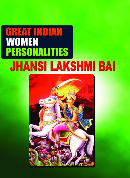# GREAT INDIAN<br>WOMEN **PERSONALITIES JHANSI LAKSHMI BAI**

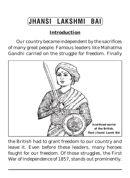## **JHANSI LAKSHMI BAI**

### **Introduction**

Our country became independent by the sacrifices of many great people. Famous leaders like Mahatma Gandhi carried on the struggle for freedom. Finally



the British had to grant freedom to our country and leave it. Even before these leaders, many heroes fought for our freedom. Of those struggles, the First War of Independence of 1857, stands out prominently.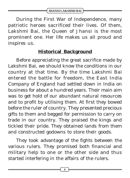**JHANSI LAKSHMI BAI**

During the First War of Independence, many patriotic heroes sacrificed their lives. Of them, Lakshmi Bai, the Queen of Jhansi is the most prominent one. Her life makes us all proud and inspires us.

#### **Historical Background**

Before appreciating the great sacrifice made by Lakshmi Bai, we should know the conditions in our country at that time. By the time Lakshmi Bai entered the battle for freedom, the East India Company of England had settled down in India on business for about a hundred years. Their main aim was to get hold of our abundant natural resources and to profit by utilising them. At first they bowed before the ruler of country. They presented precious gifts to them and begged for permission to carry on trade in our country. They praised the kings and tickled their pride. They obtained lands from them and constructed godowns to store their goods.

They took advantage of the fights between the various rulers. They promised both financial and military help to one or the other side and thus started interfering in the affairs of the rulers.

**4**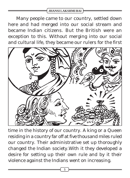#### **JHANSI LAKSHMI BAI**

Many people came to our country, settled down here and had merged into our social stream and became Indian citizens. But the British were an exception to this. Without merging into our social and cultural life, they became our rulers for the first



time in the history of our country. A king or a Queen residing in a country far off at five thousand miles ruled our country. Their administrative set up thoroughly changed the Indian society.With it they developed a desire for setting up their own rule and by it their violence against the Indians went on increasing.